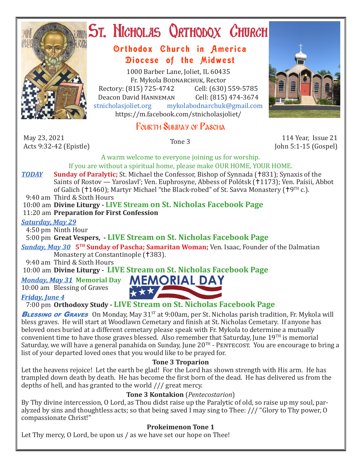

# ST. NICHOLAS QRTHODOX CHURCH

# Orthodox Church in America Diocese of the Midwest

1000 Barber Lane, Joliet, IL 60435 Fr. Mykola Bodnarchuk, Rector Rectory: (815) 725-4742 Cell: (630) 559-5785<br>Deacon David HANNEMAN Cell: (815) 474-3674 Deacon David Hanneman<br>stnicholasioliet.org mykola mykolabodnarchuk@gmail.com https://m.facebook.com/stnicholasjoliet/

# Fourth Sunday of Pascha

May 23, 2021<br>Acts 9:32-42 (Epistle) May 23, 2021<br>Acts 9:32-42 (Epistle) Tone 3 114 Year, Issue 21 114 Year, Issue 21 20 12 20 14 Year, Issue 21 20 21 20 12 20



John 5:1-15 (Gospel)

A warm welcome to everyone joining us for worship. If you are without a spiritual home, please make OUR HOME, YOUR HOME.

- *TODAY* Sunday of Paralytic; St. Michael the Confessor, Bishop of Synnada (†831); Synaxis of the Saints of Rostov — Yaroslavl'; Ven. Euphrosyne, Abbess of Polótsk (†1173); Ven. Paísii, Abbot of Galich ( $1460$ ); Martyr Michael "the Black-robed" of St. Savva Monastery ( $19^{TH}$  c.).
- 9:40 am Third & Sixth Hours
- 10:00 am **Divine Liturgy LIVE Stream on St. Nicholas Facebook Page**

11:20 am **Preparation for First Confession**

#### *Saturday, May 29*

4:50 pm Ninth Hour

## 5:00 pm **Great Vespers, - LIVE Stream on St. Nicholas Facebook Page**

*Sunday, May 30* **5TH Sunday of Pascha; Samaritan Woman;** Ven. Isaac, Founder of the Dalmatian Monastery at Constantinople († 383).

9:40 am Third & Sixth Hours

10:00 am **Divine Liturgy - LIVE Stream on St. Nicholas Facebook Page**

## *Monday, May 31* Memorial Day **MEMORIAL DAY**

10:00 am Blessing of Graves

#### *Friday, June 4*



**BLESSING OF GRAVES** On Monday, May 31<sup>st</sup> at 9:00am, per St. Nicholas parish tradition, Fr. Mykola will bless graves. He will start at Woodlawn Cemetary and finish at St. Nicholas Cemetary. If anyone has beloved ones buried at a different cemetary please speak with Fr. Mykola to determine a mutually convenient time to have those graves blessed. Also remember that Saturday, June 19TH is memorial Saturday, we will have a general panahida on Sunday, June  $20^{TH}$  - PENTECOST. You are encourage to bring a list of your departed loved ones that you would like to be prayed for.

## **Tone 3 Troparion**

Let the heavens rejoice! Let the earth be glad! For the Lord has shown strength with His arm. He has trampled down death by death. He has become the first born of the dead. He has delivered us from the depths of hell, and has granted to the world /// great mercy.

## **Tone 3 Kontakion** (*Pentecostarion*)

By Thy divine intercession, O Lord, as Thou didst raise up the Paralytic of old, so raise up my soul, paralyzed by sins and thoughtless acts; so that being saved I may sing to Thee: /// "Glory to Thy power, O compassionate Christ!"

## **Prokeimenon Tone 1**

Let Thy mercy, O Lord, be upon us / as we have set our hope on Thee!